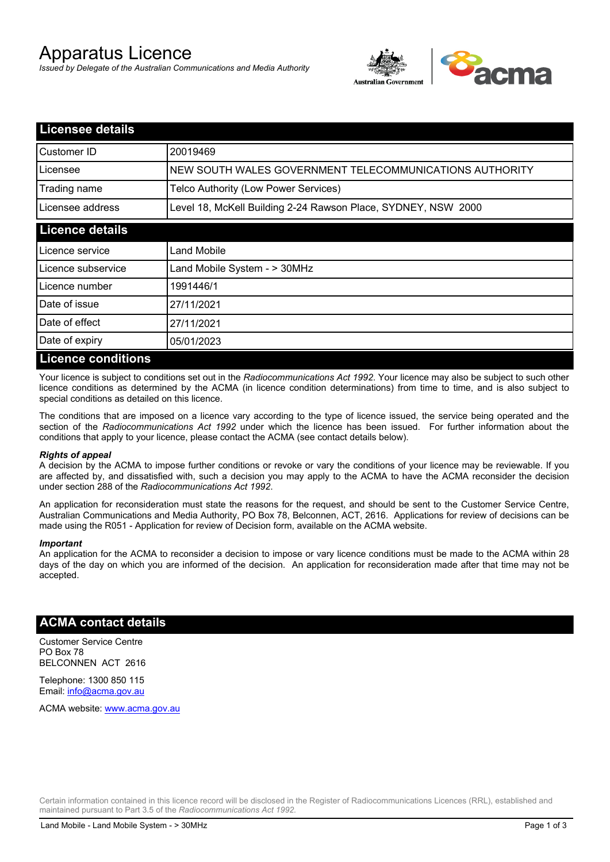# Apparatus Licence

*Issued by Delegate of the Australian Communications and Media Authority*



| <b>Licensee details</b>   |                                                               |  |
|---------------------------|---------------------------------------------------------------|--|
| Customer ID               | 20019469                                                      |  |
| Licensee                  | NEW SOUTH WALES GOVERNMENT TELECOMMUNICATIONS AUTHORITY       |  |
| Trading name              | Telco Authority (Low Power Services)                          |  |
| Licensee address          | Level 18, McKell Building 2-24 Rawson Place, SYDNEY, NSW 2000 |  |
| <b>Licence details</b>    |                                                               |  |
| l Licence service         | Land Mobile                                                   |  |
| Licence subservice        | Land Mobile System - > 30MHz                                  |  |
| Licence number            | 1991446/1                                                     |  |
| Date of issue             | 27/11/2021                                                    |  |
| Date of effect            | 27/11/2021                                                    |  |
| Date of expiry            | 05/01/2023                                                    |  |
| <b>Licence conditions</b> |                                                               |  |

Your licence is subject to conditions set out in the *Radiocommunications Act 1992*. Your licence may also be subject to such other licence conditions as determined by the ACMA (in licence condition determinations) from time to time, and is also subject to special conditions as detailed on this licence.

The conditions that are imposed on a licence vary according to the type of licence issued, the service being operated and the section of the *Radiocommunications Act 1992* under which the licence has been issued. For further information about the conditions that apply to your licence, please contact the ACMA (see contact details below).

#### *Rights of appeal*

A decision by the ACMA to impose further conditions or revoke or vary the conditions of your licence may be reviewable. If you are affected by, and dissatisfied with, such a decision you may apply to the ACMA to have the ACMA reconsider the decision under section 288 of the *Radiocommunications Act 1992*.

An application for reconsideration must state the reasons for the request, and should be sent to the Customer Service Centre, Australian Communications and Media Authority, PO Box 78, Belconnen, ACT, 2616. Applications for review of decisions can be made using the R051 - Application for review of Decision form, available on the ACMA website.

#### *Important*

An application for the ACMA to reconsider a decision to impose or vary licence conditions must be made to the ACMA within 28 days of the day on which you are informed of the decision. An application for reconsideration made after that time may not be accepted.

### **ACMA contact details**

Customer Service Centre PO Box 78 BELCONNEN ACT 2616

Telephone: 1300 850 115 Email: info@acma.gov.au

ACMA website: www.acma.gov.au

Certain information contained in this licence record will be disclosed in the Register of Radiocommunications Licences (RRL), established and maintained pursuant to Part 3.5 of the *Radiocommunications Act 1992.*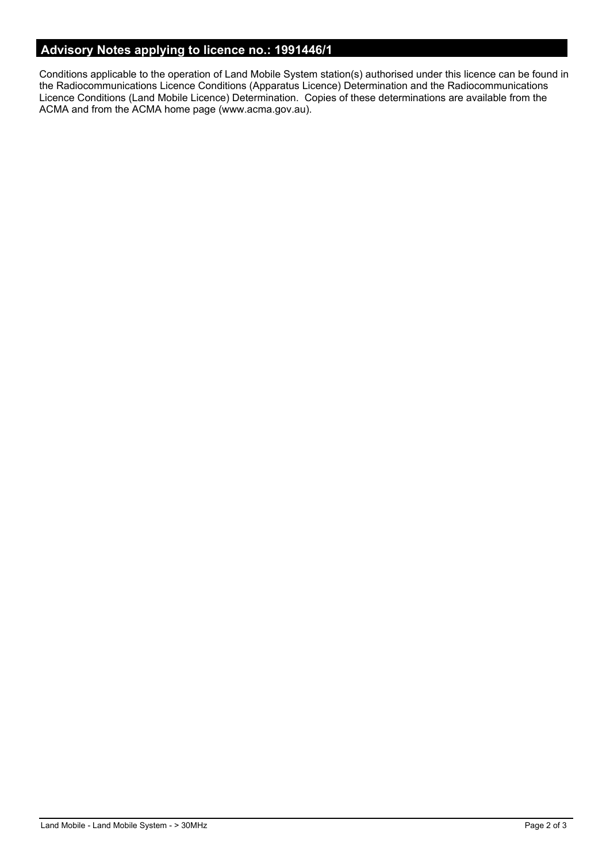# **Advisory Notes applying to licence no.: 1991446/1**

Conditions applicable to the operation of Land Mobile System station(s) authorised under this licence can be found in the Radiocommunications Licence Conditions (Apparatus Licence) Determination and the Radiocommunications Licence Conditions (Land Mobile Licence) Determination. Copies of these determinations are available from the ACMA and from the ACMA home page (www.acma.gov.au).